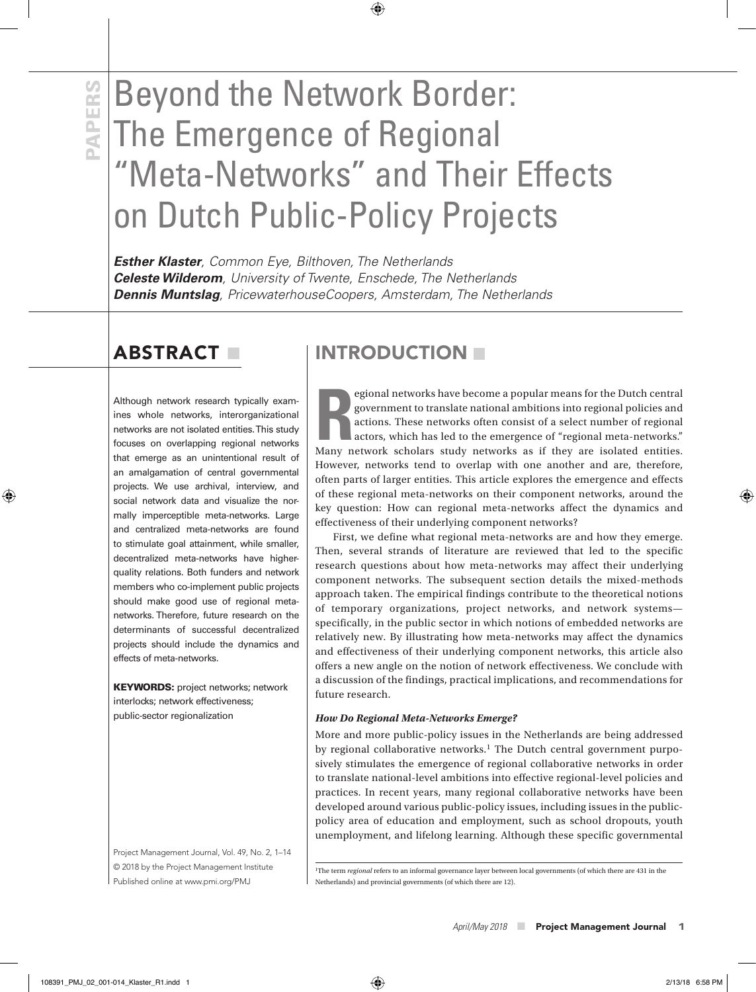# **PAPERS**<br>**PAPERS**<br>**PAPERS**<br>**PAPERSISTS**<br>**PAPERS**<br>**PAPERS**<br>**PAPERS**<br>**PAPERS**<br>**PAPERS**<br>**PAPERS**<br>**PAPERS**<br>**PAPERS**<br>**PAPERS** The Emergence of Regional "Meta-Networks" and Their Effects on Dutch Public-Policy Projects

 $\bigoplus$ 

*Esther Klaster, Common Eye, Bilthoven, The Netherlands Celeste Wilderom, University of Twente, Enschede, The Netherlands Dennis Muntslag, PricewaterhouseCoopers, Amsterdam, The Netherlands* 

# ABSTRACT **■**

⊕

Although network research typically examines whole networks, interorganizational networks are not isolated entities. This study focuses on overlapping regional networks that emerge as an unintentional result of an amalgamation of central governmental projects. We use archival, interview, and social network data and visualize the normally imperceptible meta-networks. Large and centralized meta-networks are found to stimulate goal attainment, while smaller, decentralized meta-networks have higherquality relations. Both funders and network members who co-implement public projects should make good use of regional metanetworks. Therefore, future research on the determinants of successful decentralized projects should include the dynamics and effects of meta-networks.

**KEYWORDS:** project networks; network interlocks; network effectiveness; public-sector regionalization

Project Management Journal, Vol. 49, No. 2, 1–14 © 2018 by the Project Management Institute Published online at www.pmi.org/PMJ

# INTRODUCTION

**R** Many network scholars study networks as if they are isolated entities. egional networks have become a popular means for the Dutch central government to translate national ambitions into regional policies and actions. These networks often consist of a select number of regional actors, which has led to the emergence of "regional meta-networks." However, networks tend to overlap with one another and are, therefore, often parts of larger entities. This article explores the emergence and effects of these regional meta-networks on their component networks, around the key question: How can regional meta-networks affect the dynamics and effectiveness of their underlying component networks?

First, we define what regional meta-networks are and how they emerge. Then, several strands of literature are reviewed that led to the specific research questions about how meta-networks may affect their underlying component networks. The subsequent section details the mixed-methods approach taken. The empirical findings contribute to the theoretical notions of temporary organizations, project networks, and network systems specifically, in the public sector in which notions of embedded networks are relatively new. By illustrating how meta-networks may affect the dynamics and effectiveness of their underlying component networks, this article also offers a new angle on the notion of network effectiveness. We conclude with a discussion of the findings, practical implications, and recommendations for future research.

#### *How Do Regional Meta-Networks Emerge?*

More and more public-policy issues in the Netherlands are being addressed by regional collaborative networks.<sup>1</sup> The Dutch central government purposively stimulates the emergence of regional collaborative networks in order to translate national-level ambitions into effective regional-level policies and practices. In recent years, many regional collaborative networks have been developed around various public-policy issues, including issues in the publicpolicy area of education and employment, such as school dropouts, youth unemployment, and lifelong learning. Although these specific governmental

1The term *regional* refers to an informal governance layer between local governments (of which there are 431 in the Netherlands) and provincial governments (of which there are 12).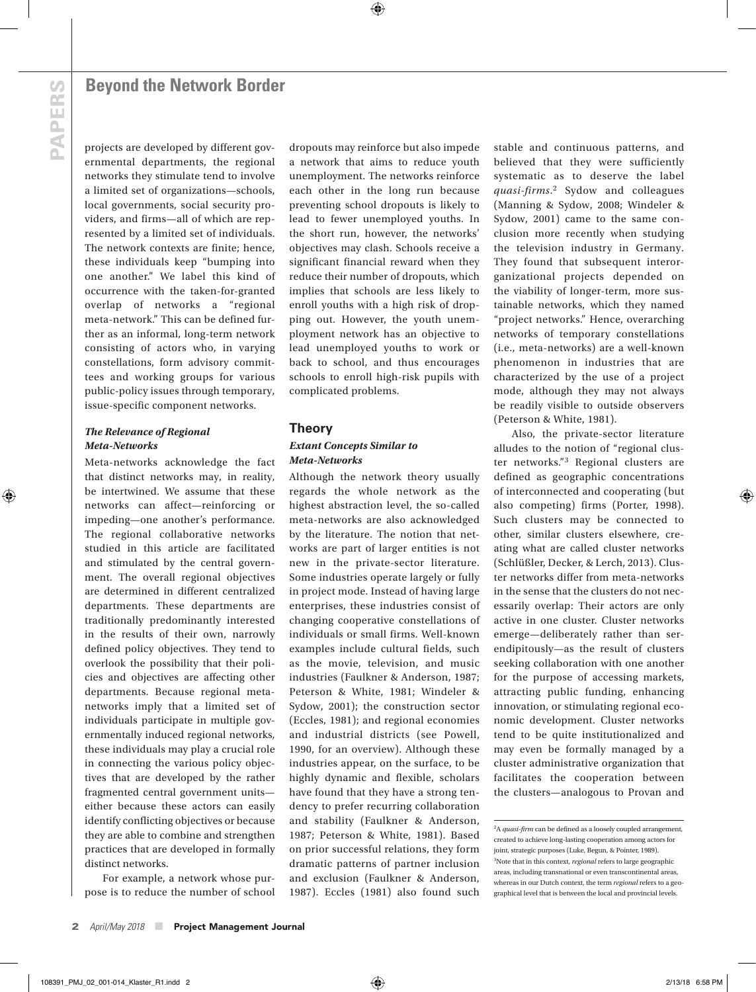projects are developed by different governmental departments, the regional networks they stimulate tend to involve a limited set of organizations—schools, local governments, social security providers, and firms—all of which are represented by a limited set of individuals. The network contexts are finite; hence, these individuals keep "bumping into one another." We label this kind of occurrence with the taken-for-granted overlap of networks a "regional meta-network." This can be defined further as an informal, long-term network consisting of actors who, in varying constellations, form advisory committees and working groups for various public-policy issues through temporary, issue-specific component networks.

## *The Relevance of Regional Meta-Networks*

Meta-networks acknowledge the fact that distinct networks may, in reality, be intertwined. We assume that these networks can affect—reinforcing or impeding—one another's performance. The regional collaborative networks studied in this article are facilitated and stimulated by the central government. The overall regional objectives are determined in different centralized departments. These departments are traditionally predominantly interested in the results of their own, narrowly defined policy objectives. They tend to overlook the possibility that their policies and objectives are affecting other departments. Because regional metanetworks imply that a limited set of individuals participate in multiple governmentally induced regional networks, these individuals may play a crucial role in connecting the various policy objectives that are developed by the rather fragmented central government units either because these actors can easily identify conflicting objectives or because they are able to combine and strengthen practices that are developed in formally distinct networks.

For example, a network whose purpose is to reduce the number of school dropouts may reinforce but also impede a network that aims to reduce youth unemployment. The networks reinforce each other in the long run because preventing school dropouts is likely to lead to fewer unemployed youths. In the short run, however, the networks' objectives may clash. Schools receive a significant financial reward when they reduce their number of dropouts, which implies that schools are less likely to enroll youths with a high risk of dropping out. However, the youth unemployment network has an objective to lead unemployed youths to work or back to school, and thus encourages schools to enroll high-risk pupils with complicated problems.

⊕

## **Theory** *Extant Concepts Similar to Meta-Networks*

Although the network theory usually regards the whole network as the highest abstraction level, the so-called meta-networks are also acknowledged by the literature. The notion that networks are part of larger entities is not new in the private-sector literature. Some industries operate largely or fully in project mode. Instead of having large enterprises, these industries consist of changing cooperative constellations of individuals or small firms. Well-known examples include cultural fields, such as the movie, television, and music industries (Faulkner & Anderson, 1987; Peterson & White, 1981; Windeler & Sydow, 2001); the construction sector (Eccles, 1981); and regional economies and industrial districts (see Powell, 1990, for an overview). Although these industries appear, on the surface, to be highly dynamic and flexible, scholars have found that they have a strong tendency to prefer recurring collaboration and stability (Faulkner & Anderson, 1987; Peterson & White, 1981). Based on prior successful relations, they form dramatic patterns of partner inclusion and exclusion (Faulkner & Anderson, 1987). Eccles (1981) also found such

stable and continuous patterns, and believed that they were sufficiently systematic as to deserve the label *quasi-firms*. 2 Sydow and colleagues (Manning & Sydow, 2008; Windeler & Sydow, 2001) came to the same conclusion more recently when studying the television industry in Germany. They found that subsequent interorganizational projects depended on the viability of longer-term, more sustainable networks, which they named "project networks." Hence, overarching networks of temporary constellations (i.e., meta-networks) are a well-known phenomenon in industries that are characterized by the use of a project mode, although they may not always be readily visible to outside observers (Peterson & White, 1981).

Also, the private-sector literature alludes to the notion of "regional cluster networks."3 Regional clusters are defined as geographic concentrations of interconnected and cooperating (but also competing) firms (Porter, 1998). Such clusters may be connected to other, similar clusters elsewhere, creating what are called cluster networks (Schlüßler, Decker, & Lerch, 2013). Cluster networks differ from meta-networks in the sense that the clusters do not necessarily overlap: Their actors are only active in one cluster. Cluster networks emerge—deliberately rather than serendipitously—as the result of clusters seeking collaboration with one another for the purpose of accessing markets, attracting public funding, enhancing innovation, or stimulating regional economic development. Cluster networks tend to be quite institutionalized and may even be formally managed by a cluster administrative organization that facilitates the cooperation between the clusters—analogous to Provan and

⊕

<sup>2</sup>A *quasi-firm* can be defined as a loosely coupled arrangement, created to achieve long-lasting cooperation among actors for joint, strategic purposes (Luke, Begun, & Pointer, 1989). 3Note that in this context, *regional* refers to large geographic areas, including transnational or even transcontinental areas, whereas in our Dutch context, the term *regional* refers to a geographical level that is between the local and provincial levels.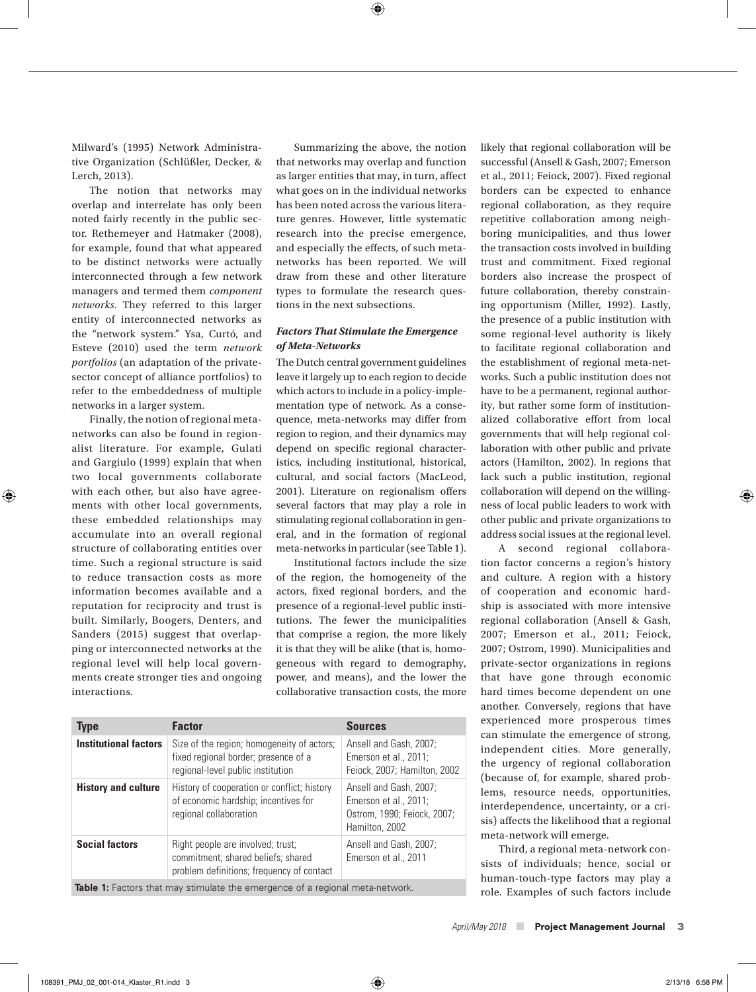⊕

Milward's (1995) Network Administrative Organization (Schlüßler, Decker, & Lerch, 2013).

The notion that networks may overlap and interrelate has only been noted fairly recently in the public sector. Rethemeyer and Hatmaker (2008), for example, found that what appeared to be distinct networks were actually interconnected through a few network managers and termed them *component networks*. They referred to this larger entity of interconnected networks as the "network system." Ysa, Curtó, and Esteve (2010) used the term *network portfolios* (an adaptation of the privatesector concept of alliance portfolios) to refer to the embeddedness of multiple networks in a larger system.

Finally, the notion of regional metanetworks can also be found in regionalist literature. For example, Gulati and Gargiulo (1999) explain that when two local governments collaborate with each other, but also have agreements with other local governments, these embedded relationships may accumulate into an overall regional structure of collaborating entities over time. Such a regional structure is said to reduce transaction costs as more information becomes available and a reputation for reciprocity and trust is built. Similarly, Boogers, Denters, and Sanders (2015) suggest that overlapping or interconnected networks at the regional level will help local governments create stronger ties and ongoing interactions.

⊕

Summarizing the above, the notion that networks may overlap and function as larger entities that may, in turn, affect what goes on in the individual networks has been noted across the various literature genres. However, little systematic research into the precise emergence, and especially the effects, of such metanetworks has been reported. We will draw from these and other literature types to formulate the research questions in the next subsections.

## *Factors That Stimulate the Emergence of Meta-Networks*

The Dutch central government guidelines leave it largely up to each region to decide which actors to include in a policy-implementation type of network. As a consequence, meta-networks may differ from region to region, and their dynamics may depend on specific regional characteristics, including institutional, historical, cultural, and social factors (MacLeod, 2001). Literature on regionalism offers several factors that may play a role in stimulating regional collaboration in general, and in the formation of regional meta-networks in particular (see Table 1).

Institutional factors include the size of the region, the homogeneity of the actors, fixed regional borders, and the presence of a regional-level public institutions. The fewer the municipalities that comprise a region, the more likely it is that they will be alike (that is, homogeneous with regard to demography, power, and means), and the lower the collaborative transaction costs, the more

| <b>Type</b>                                                                          | <b>Factor</b>                                                                                                           | <b>Sources</b>                                                                                   |  |  |
|--------------------------------------------------------------------------------------|-------------------------------------------------------------------------------------------------------------------------|--------------------------------------------------------------------------------------------------|--|--|
| <b>Institutional factors</b>                                                         | Size of the region; homogeneity of actors;<br>fixed regional border; presence of a<br>regional-level public institution | Ansell and Gash, 2007;<br>Emerson et al., 2011;<br>Feiock, 2007; Hamilton, 2002                  |  |  |
| <b>History and culture</b>                                                           | History of cooperation or conflict; history<br>of economic hardship; incentives for<br>regional collaboration           | Ansell and Gash, 2007;<br>Emerson et al., 2011;<br>Ostrom, 1990; Feiock, 2007;<br>Hamilton, 2002 |  |  |
| <b>Social factors</b>                                                                | Right people are involved; trust;<br>commitment; shared beliefs; shared<br>problem definitions; frequency of contact    | Ansell and Gash, 2007;<br>Emerson et al., 2011                                                   |  |  |
| <b>Table 1:</b> Factors that may stimulate the emergence of a regional meta-network. |                                                                                                                         |                                                                                                  |  |  |

likely that regional collaboration will be successful (Ansell & Gash, 2007; Emerson et al., 2011; Feiock, 2007). Fixed regional borders can be expected to enhance regional collaboration, as they require repetitive collaboration among neighboring municipalities, and thus lower the transaction costs involved in building trust and commitment. Fixed regional borders also increase the prospect of future collaboration, thereby constraining opportunism (Miller, 1992). Lastly, the presence of a public institution with some regional-level authority is likely to facilitate regional collaboration and the establishment of regional meta-networks. Such a public institution does not have to be a permanent, regional authority, but rather some form of institutionalized collaborative effort from local governments that will help regional collaboration with other public and private actors (Hamilton, 2002). In regions that lack such a public institution, regional collaboration will depend on the willingness of local public leaders to work with other public and private organizations to address social issues at the regional level.

A second regional collaboration factor concerns a region's history and culture. A region with a history of cooperation and economic hardship is associated with more intensive regional collaboration (Ansell & Gash, 2007; Emerson et al., 2011; Feiock, 2007; Ostrom, 1990). Municipalities and private-sector organizations in regions that have gone through economic hard times become dependent on one another. Conversely, regions that have experienced more prosperous times can stimulate the emergence of strong, independent cities. More generally, the urgency of regional collaboration (because of, for example, shared problems, resource needs, opportunities, interdependence, uncertainty, or a crisis) affects the likelihood that a regional meta-network will emerge.

Third, a regional meta-network consists of individuals; hence, social or human-touch-type factors may play a role. Examples of such factors include

108391\_PMJ\_02\_001-014\_Klaster\_R1.indd 3 2/13/18 6:58 PM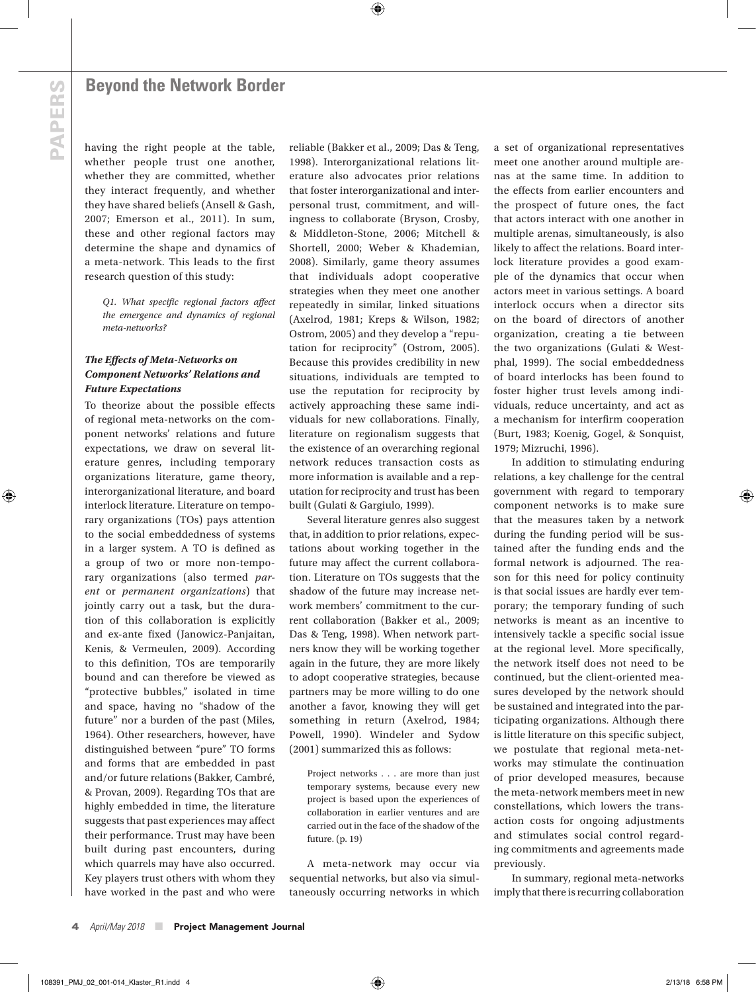# **PAPERS PAPERS**

⊕

## **Beyond the Network Border**

having the right people at the table, whether people trust one another, whether they are committed, whether they interact frequently, and whether they have shared beliefs (Ansell & Gash, 2007; Emerson et al., 2011). In sum, these and other regional factors may determine the shape and dynamics of a meta-network. This leads to the first research question of this study:

*Q1. What specific regional factors affect the emergence and dynamics of regional meta-networks?*

### *The Effects of Meta-Networks on Component Networks' Relations and Future Expectations*

To theorize about the possible effects of regional meta-networks on the component networks' relations and future expectations, we draw on several literature genres, including temporary organizations literature, game theory, interorganizational literature, and board interlock literature. Literature on temporary organizations (TOs) pays attention to the social embeddedness of systems in a larger system. A TO is defined as a group of two or more non-temporary organizations (also termed *parent* or *permanent organizations*) that jointly carry out a task, but the duration of this collaboration is explicitly and ex-ante fixed (Janowicz-Panjaitan, Kenis, & Vermeulen, 2009). According to this definition, TOs are temporarily bound and can therefore be viewed as "protective bubbles," isolated in time and space, having no "shadow of the future" nor a burden of the past (Miles, 1964). Other researchers, however, have distinguished between "pure" TO forms and forms that are embedded in past and/or future relations (Bakker, Cambré, & Provan, 2009). Regarding TOs that are highly embedded in time, the literature suggests that past experiences may affect their performance. Trust may have been built during past encounters, during which quarrels may have also occurred. Key players trust others with whom they have worked in the past and who were

reliable (Bakker et al., 2009; Das & Teng, 1998). Interorganizational relations literature also advocates prior relations that foster interorganizational and interpersonal trust, commitment, and willingness to collaborate (Bryson, Crosby, & Middleton-Stone, 2006; Mitchell & Shortell, 2000; Weber & Khademian, 2008). Similarly, game theory assumes that individuals adopt cooperative strategies when they meet one another repeatedly in similar, linked situations (Axelrod, 1981; Kreps & Wilson, 1982; Ostrom, 2005) and they develop a "reputation for reciprocity" (Ostrom, 2005). Because this provides credibility in new situations, individuals are tempted to use the reputation for reciprocity by actively approaching these same individuals for new collaborations. Finally, literature on regionalism suggests that the existence of an overarching regional network reduces transaction costs as more information is available and a reputation for reciprocity and trust has been built (Gulati & Gargiulo, 1999).

⊕

Several literature genres also suggest that, in addition to prior relations, expectations about working together in the future may affect the current collaboration. Literature on TOs suggests that the shadow of the future may increase network members' commitment to the current collaboration (Bakker et al., 2009; Das & Teng, 1998). When network partners know they will be working together again in the future, they are more likely to adopt cooperative strategies, because partners may be more willing to do one another a favor, knowing they will get something in return (Axelrod, 1984; Powell, 1990). Windeler and Sydow (2001) summarized this as follows:

Project networks . . . are more than just temporary systems, because every new project is based upon the experiences of collaboration in earlier ventures and are carried out in the face of the shadow of the future. (p. 19)

A meta-network may occur via sequential networks, but also via simultaneously occurring networks in which a set of organizational representatives meet one another around multiple arenas at the same time. In addition to the effects from earlier encounters and the prospect of future ones, the fact that actors interact with one another in multiple arenas, simultaneously, is also likely to affect the relations. Board interlock literature provides a good example of the dynamics that occur when actors meet in various settings. A board interlock occurs when a director sits on the board of directors of another organization, creating a tie between the two organizations (Gulati & Westphal, 1999). The social embeddedness of board interlocks has been found to foster higher trust levels among individuals, reduce uncertainty, and act as a mechanism for interfirm cooperation (Burt, 1983; Koenig, Gogel, & Sonquist, 1979; Mizruchi, 1996).

In addition to stimulating enduring relations, a key challenge for the central government with regard to temporary component networks is to make sure that the measures taken by a network during the funding period will be sustained after the funding ends and the formal network is adjourned. The reason for this need for policy continuity is that social issues are hardly ever temporary; the temporary funding of such networks is meant as an incentive to intensively tackle a specific social issue at the regional level. More specifically, the network itself does not need to be continued, but the client-oriented measures developed by the network should be sustained and integrated into the participating organizations. Although there is little literature on this specific subject, we postulate that regional meta-networks may stimulate the continuation of prior developed measures, because the meta-network members meet in new constellations, which lowers the transaction costs for ongoing adjustments and stimulates social control regarding commitments and agreements made previously.

In summary, regional meta-networks imply that there is recurring collaboration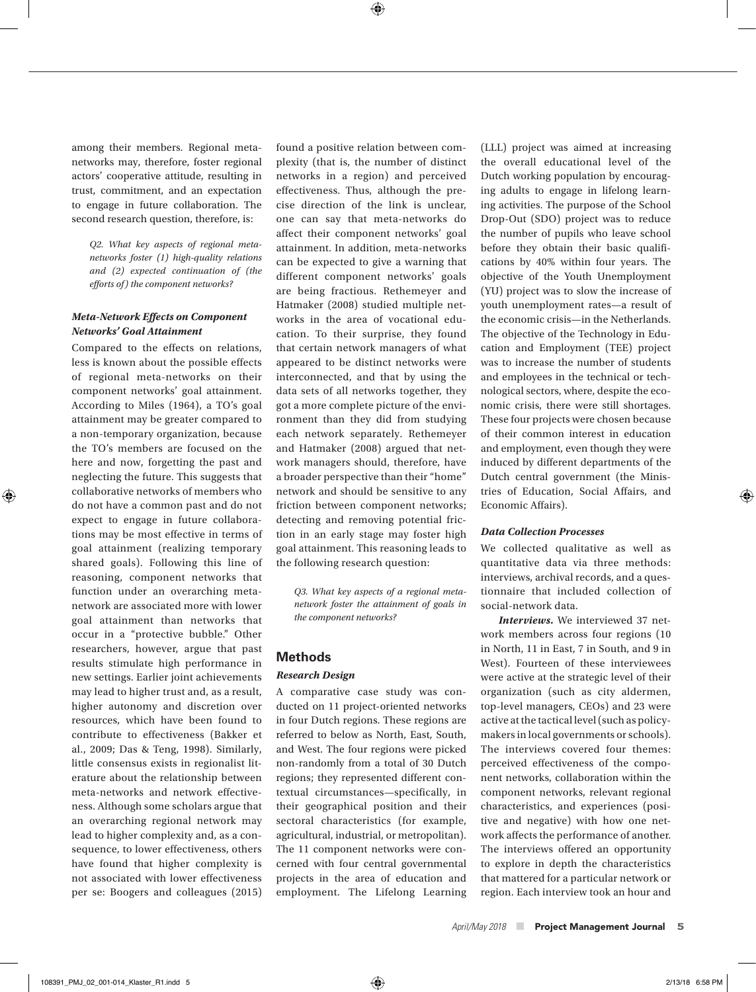$\textcircled{\scriptsize{+}}$ 

among their members. Regional metanetworks may, therefore, foster regional actors' cooperative attitude, resulting in trust, commitment, and an expectation to engage in future collaboration. The second research question, therefore, is:

*Q2. What key aspects of regional metanetworks foster (1) high-quality relations and (2) expected continuation of (the efforts of) the component networks?*

### *Meta-Network Effects on Component Networks' Goal Attainment*

Compared to the effects on relations, less is known about the possible effects of regional meta-networks on their component networks' goal attainment. According to Miles (1964), a TO's goal attainment may be greater compared to a non-temporary organization, because the TO's members are focused on the here and now, forgetting the past and neglecting the future. This suggests that collaborative networks of members who do not have a common past and do not expect to engage in future collaborations may be most effective in terms of goal attainment (realizing temporary shared goals). Following this line of reasoning, component networks that function under an overarching metanetwork are associated more with lower goal attainment than networks that occur in a "protective bubble." Other researchers, however, argue that past results stimulate high performance in new settings. Earlier joint achievements may lead to higher trust and, as a result, higher autonomy and discretion over resources, which have been found to contribute to effectiveness (Bakker et al., 2009; Das & Teng, 1998). Similarly, little consensus exists in regionalist literature about the relationship between meta-networks and network effectiveness. Although some scholars argue that an overarching regional network may lead to higher complexity and, as a consequence, to lower effectiveness, others have found that higher complexity is not associated with lower effectiveness per se: Boogers and colleagues (2015)

⊕

found a positive relation between complexity (that is, the number of distinct networks in a region) and perceived effectiveness. Thus, although the precise direction of the link is unclear, one can say that meta-networks do affect their component networks' goal attainment. In addition, meta-networks can be expected to give a warning that different component networks' goals are being fractious. Rethemeyer and Hatmaker (2008) studied multiple networks in the area of vocational education. To their surprise, they found that certain network managers of what appeared to be distinct networks were interconnected, and that by using the data sets of all networks together, they got a more complete picture of the environment than they did from studying each network separately. Rethemeyer and Hatmaker (2008) argued that network managers should, therefore, have a broader perspective than their "home" network and should be sensitive to any friction between component networks; detecting and removing potential friction in an early stage may foster high goal attainment. This reasoning leads to the following research question:

*Q3. What key aspects of a regional metanetwork foster the attainment of goals in the component networks?*

#### **Methods**

#### *Research Design*

A comparative case study was conducted on 11 project-oriented networks in four Dutch regions. These regions are referred to below as North, East, South, and West. The four regions were picked non-randomly from a total of 30 Dutch regions; they represented different contextual circumstances—specifically, in their geographical position and their sectoral characteristics (for example, agricultural, industrial, or metropolitan). The 11 component networks were concerned with four central governmental projects in the area of education and employment. The Lifelong Learning (LLL) project was aimed at increasing the overall educational level of the Dutch working population by encouraging adults to engage in lifelong learning activities. The purpose of the School Drop-Out (SDO) project was to reduce the number of pupils who leave school before they obtain their basic qualifications by 40% within four years. The objective of the Youth Unemployment (YU) project was to slow the increase of youth unemployment rates—a result of the economic crisis—in the Netherlands. The objective of the Technology in Education and Employment (TEE) project was to increase the number of students and employees in the technical or technological sectors, where, despite the economic crisis, there were still shortages. These four projects were chosen because of their common interest in education and employment, even though they were induced by different departments of the Dutch central government (the Ministries of Education, Social Affairs, and Economic Affairs).

#### *Data Collection Processes*

We collected qualitative as well as quantitative data via three methods: interviews, archival records, and a questionnaire that included collection of social-network data.

*Interviews.* We interviewed 37 network members across four regions (10 in North, 11 in East, 7 in South, and 9 in West). Fourteen of these interviewees were active at the strategic level of their organization (such as city aldermen, top-level managers, CEOs) and 23 were active at the tactical level (such as policymakers in local governments or schools). The interviews covered four themes: perceived effectiveness of the component networks, collaboration within the component networks, relevant regional characteristics, and experiences (positive and negative) with how one network affects the performance of another. The interviews offered an opportunity to explore in depth the characteristics that mattered for a particular network or region. Each interview took an hour and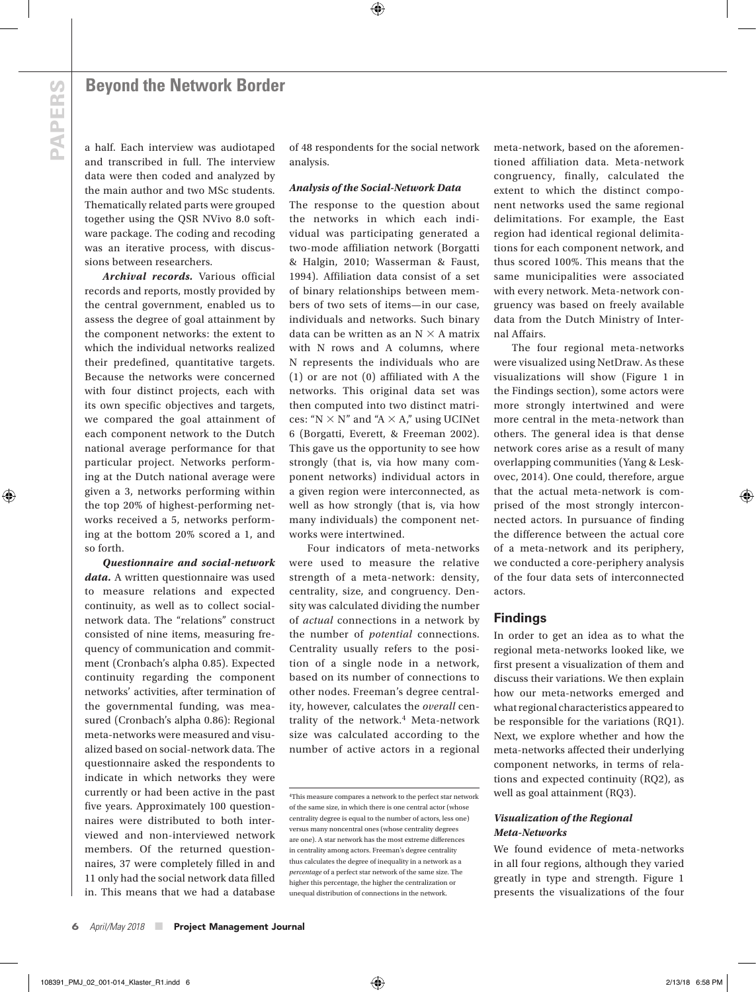⊕

a half. Each interview was audiotaped and transcribed in full. The interview data were then coded and analyzed by the main author and two MSc students. Thematically related parts were grouped together using the QSR NVivo 8.0 software package. The coding and recoding was an iterative process, with discussions between researchers.

*Archival records.* Various official records and reports, mostly provided by the central government, enabled us to assess the degree of goal attainment by the component networks: the extent to which the individual networks realized their predefined, quantitative targets. Because the networks were concerned with four distinct projects, each with its own specific objectives and targets, we compared the goal attainment of each component network to the Dutch national average performance for that particular project. Networks performing at the Dutch national average were given a 3, networks performing within the top 20% of highest-performing networks received a 5, networks performing at the bottom 20% scored a 1, and so forth.

*Questionnaire and social-network data.* A written questionnaire was used to measure relations and expected continuity, as well as to collect socialnetwork data. The "relations" construct consisted of nine items, measuring frequency of communication and commitment (Cronbach's alpha 0.85). Expected continuity regarding the component networks' activities, after termination of the governmental funding, was measured (Cronbach's alpha 0.86): Regional meta-networks were measured and visualized based on social-network data. The questionnaire asked the respondents to indicate in which networks they were currently or had been active in the past five years. Approximately 100 questionnaires were distributed to both interviewed and non-interviewed network members. Of the returned questionnaires, 37 were completely filled in and 11 only had the social network data filled in. This means that we had a database

of 48 respondents for the social network analysis.

⊕

#### *Analysis of the Social-Network Data*

The response to the question about the networks in which each individual was participating generated a two-mode affiliation network (Borgatti & Halgin, 2010; Wasserman & Faust, 1994). Affiliation data consist of a set of binary relationships between members of two sets of items—in our case, individuals and networks. Such binary data can be written as an  $N \times A$  matrix with N rows and A columns, where N represents the individuals who are (1) or are not (0) affiliated with A the networks. This original data set was then computed into two distinct matrices: " $N \times N$ " and " $A \times A$ ," using UCINet 6 (Borgatti, Everett, & Freeman 2002). This gave us the opportunity to see how strongly (that is, via how many component networks) individual actors in a given region were interconnected, as well as how strongly (that is, via how many individuals) the component networks were intertwined.

Four indicators of meta-networks were used to measure the relative strength of a meta-network: density, centrality, size, and congruency. Density was calculated dividing the number of *actual* connections in a network by the number of *potential* connections. Centrality usually refers to the position of a single node in a network, based on its number of connections to other nodes. Freeman's degree centrality, however, calculates the *overall* centrality of the network.<sup>4</sup> Meta-network size was calculated according to the number of active actors in a regional

meta-network, based on the aforementioned affiliation data. Meta-network congruency, finally, calculated the extent to which the distinct component networks used the same regional delimitations. For example, the East region had identical regional delimitations for each component network, and thus scored 100%. This means that the same municipalities were associated with every network. Meta-network congruency was based on freely available data from the Dutch Ministry of Internal Affairs.

The four regional meta-networks were visualized using NetDraw. As these visualizations will show (Figure 1 in the Findings section), some actors were more strongly intertwined and were more central in the meta-network than others. The general idea is that dense network cores arise as a result of many overlapping communities (Yang & Leskovec, 2014). One could, therefore, argue that the actual meta-network is comprised of the most strongly interconnected actors. In pursuance of finding the difference between the actual core of a meta-network and its periphery, we conducted a core-periphery analysis of the four data sets of interconnected actors.

## **Findings**

In order to get an idea as to what the regional meta-networks looked like, we first present a visualization of them and discuss their variations. We then explain how our meta-networks emerged and what regional characteristics appeared to be responsible for the variations (RQ1). Next, we explore whether and how the meta-networks affected their underlying component networks, in terms of relations and expected continuity (RQ2), as well as goal attainment (RQ3).

#### *Visualization of the Regional Meta-Networks*

We found evidence of meta-networks in all four regions, although they varied greatly in type and strength. Figure 1 presents the visualizations of the four

<sup>4</sup>This measure compares a network to the perfect star network of the same size, in which there is one central actor (whose centrality degree is equal to the number of actors, less one) versus many noncentral ones (whose centrality degrees are one). A star network has the most extreme differences in centrality among actors. Freeman's degree centrality thus calculates the degree of inequality in a network as a *percentage* of a perfect star network of the same size. The higher this percentage, the higher the centralization or unequal distribution of connections in the network.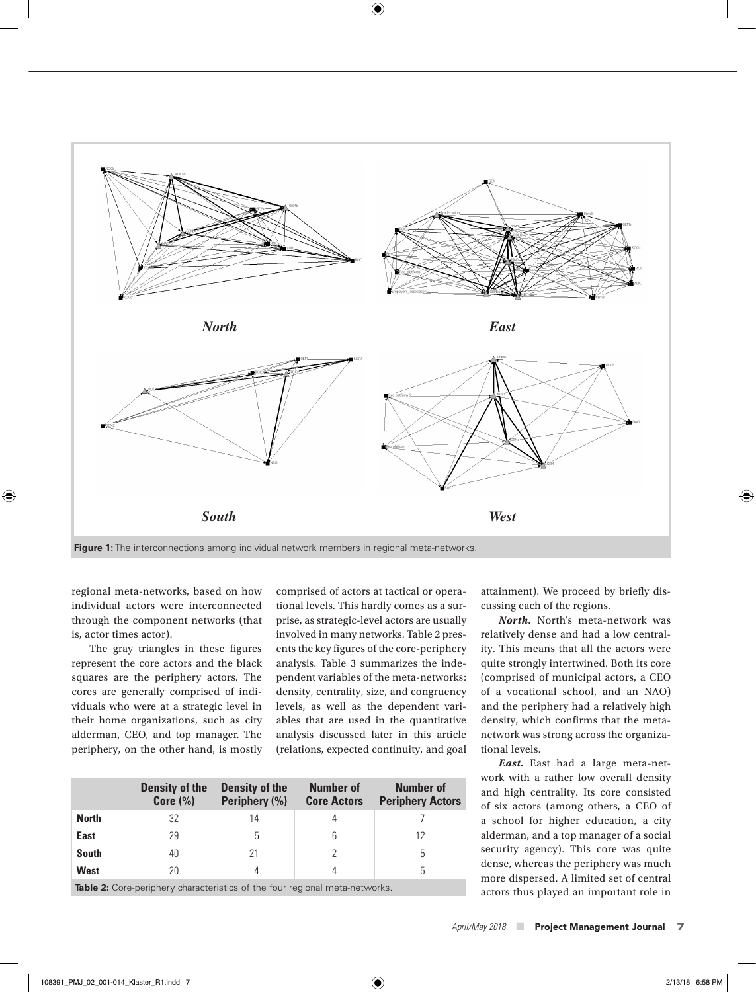

 $\bigoplus$ 

**Figure 1:** The interconnections among individual network members in regional meta-networks.

regional meta-networks, based on how individual actors were interconnected through the component networks (that is, actor times actor).

 $\textcircled{\scriptsize\textsf{t}}$ 

The gray triangles in these figures represent the core actors and the black squares are the periphery actors. The cores are generally comprised of individuals who were at a strategic level in their home organizations, such as city alderman, CEO, and top manager. The periphery, on the other hand, is mostly comprised of actors at tactical or operational levels. This hardly comes as a surprise, as strategic-level actors are usually involved in many networks. Table 2 presents the key figures of the core-periphery analysis. Table 3 summarizes the independent variables of the meta-networks: density, centrality, size, and congruency levels, as well as the dependent variables that are used in the quantitative analysis discussed later in this article (relations, expected continuity, and goal

|                                                                                    | <b>Density of the</b><br>Core $(\% )$ | <b>Density of the</b><br>Periphery (%) | <b>Number of</b><br><b>Core Actors</b> | <b>Number of</b><br><b>Periphery Actors</b> |
|------------------------------------------------------------------------------------|---------------------------------------|----------------------------------------|----------------------------------------|---------------------------------------------|
| <b>North</b>                                                                       | 32                                    | 14                                     |                                        |                                             |
| <b>East</b>                                                                        | 29                                    | 5                                      | 6                                      |                                             |
| <b>South</b>                                                                       | 40                                    | 21                                     |                                        | 5                                           |
| West                                                                               | 20                                    |                                        | 4                                      | 5                                           |
| <b>Table 2:</b> Core-periphery characteristics of the four regional meta-networks. |                                       |                                        |                                        |                                             |

attainment). We proceed by briefly discussing each of the regions.

*North.* North's meta-network was relatively dense and had a low centrality. This means that all the actors were quite strongly intertwined. Both its core (comprised of municipal actors, a CEO of a vocational school, and an NAO) and the periphery had a relatively high density, which confirms that the metanetwork was strong across the organizational levels.

*East.* East had a large meta-network with a rather low overall density and high centrality. Its core consisted of six actors (among others, a CEO of a school for higher education, a city alderman, and a top manager of a social security agency). This core was quite dense, whereas the periphery was much more dispersed. A limited set of central actors thus played an important role in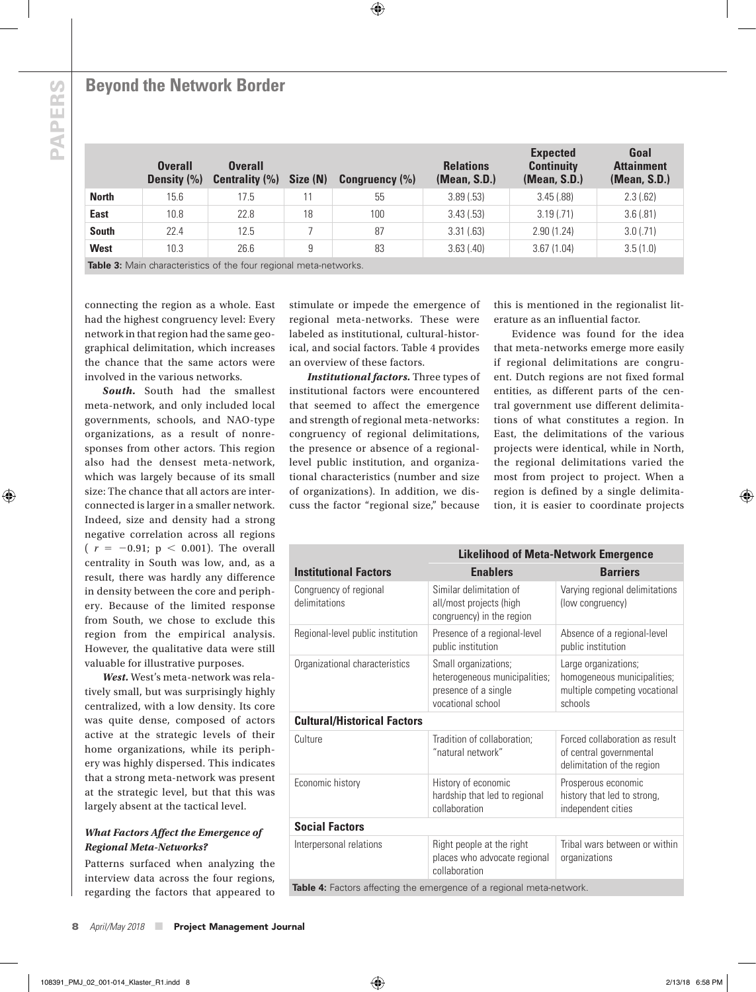**PAPERS PAPERS**

⊕

## **Beyond the Network Border**

|                                                                  | <b>Overall</b><br>Density (%) | <b>Overall</b><br><b>Centrality (%)</b> | Size (N) | Congruency $(\% )$ | <b>Relations</b><br>(Mean, S.D.) | <b>Expected</b><br><b>Continuity</b><br>(Mean, S.D.) | Goal<br><b>Attainment</b><br>(Mean, S.D.) |
|------------------------------------------------------------------|-------------------------------|-----------------------------------------|----------|--------------------|----------------------------------|------------------------------------------------------|-------------------------------------------|
| <b>North</b>                                                     | 15.6                          | 17.5                                    |          | 55                 | 3.89(.53)                        | 3.45(.88)                                            | 2.3(.62)                                  |
| <b>East</b>                                                      | 10.8                          | 22.8                                    | 18       | 100                | 3.43(.53)                        | 3.19(0.71)                                           | 3.6(.81)                                  |
| <b>South</b>                                                     | 22.4                          | 12.5                                    |          | 87                 | 3.31(.63)                        | 2.90(1.24)                                           | $3.0$ (.71)                               |
| <b>West</b>                                                      | 10.3                          | 26.6                                    | 9        | 83                 | 3.63(.40)                        | 3.67(1.04)                                           | 3.5(1.0)                                  |
| Table 3: Main characteristics of the four regional meta-networks |                               |                                         |          |                    |                                  |                                                      |                                           |

 $\bigoplus$ 

**Table 3:** Main characteristics of the four regional meta-networks.

connecting the region as a whole. East had the highest congruency level: Every network in that region had the same geographical delimitation, which increases the chance that the same actors were involved in the various networks.

*South.* South had the smallest meta-network, and only included local governments, schools, and NAO-type organizations, as a result of nonresponses from other actors. This region also had the densest meta-network, which was largely because of its small size: The chance that all actors are interconnected is larger in a smaller network. Indeed, size and density had a strong negative correlation across all regions  $(r = -0.91; p < 0.001)$ . The overall centrality in South was low, and, as a result, there was hardly any difference in density between the core and periphery. Because of the limited response from South, we chose to exclude this region from the empirical analysis. However, the qualitative data were still valuable for illustrative purposes.

*West.* West's meta-network was relatively small, but was surprisingly highly centralized, with a low density. Its core was quite dense, composed of actors active at the strategic levels of their home organizations, while its periphery was highly dispersed. This indicates that a strong meta-network was present at the strategic level, but that this was largely absent at the tactical level.

## *What Factors Affect the Emergence of Regional Meta-Networks?*

Patterns surfaced when analyzing the interview data across the four regions, regarding the factors that appeared to stimulate or impede the emergence of regional meta-networks. These were labeled as institutional, cultural-historical, and social factors. Table 4 provides an overview of these factors.

*Institutional factors.* Three types of institutional factors were encountered that seemed to affect the emergence and strength of regional meta-networks: congruency of regional delimitations, the presence or absence of a regionallevel public institution, and organizational characteristics (number and size of organizations). In addition, we discuss the factor "regional size," because

this is mentioned in the regionalist literature as an influential factor.

Evidence was found for the idea that meta-networks emerge more easily if regional delimitations are congruent. Dutch regions are not fixed formal entities, as different parts of the central government use different delimitations of what constitutes a region. In East, the delimitations of the various projects were identical, while in North, the regional delimitations varied the most from project to project. When a region is defined by a single delimitation, it is easier to coordinate projects

|                                                                      | <b>Likelihood of Meta-Network Emergence</b>                                                        |                                                                                                 |  |
|----------------------------------------------------------------------|----------------------------------------------------------------------------------------------------|-------------------------------------------------------------------------------------------------|--|
| <b>Institutional Factors</b>                                         | <b>Enablers</b>                                                                                    | <b>Barriers</b>                                                                                 |  |
| Congruency of regional<br>delimitations                              | Similar delimitation of<br>all/most projects (high<br>congruency) in the region                    | Varying regional delimitations<br>(low congruency)                                              |  |
| Regional-level public institution                                    | Presence of a regional-level<br>public institution                                                 | Absence of a regional-level<br>public institution                                               |  |
| Organizational characteristics                                       | Small organizations;<br>heterogeneous municipalities;<br>presence of a single<br>vocational school | Large organizations;<br>homogeneous municipalities;<br>multiple competing vocational<br>schools |  |
| <b>Cultural/Historical Factors</b>                                   |                                                                                                    |                                                                                                 |  |
| Culture                                                              | Tradition of collaboration;<br>"natural network"                                                   | Forced collaboration as result<br>of central governmental<br>delimitation of the region         |  |
| Economic history                                                     | History of economic<br>hardship that led to regional<br>collaboration                              | Prosperous economic<br>history that led to strong,<br>independent cities                        |  |
| <b>Social Factors</b>                                                |                                                                                                    |                                                                                                 |  |
| Interpersonal relations                                              | Right people at the right<br>places who advocate regional<br>collaboration                         | Tribal wars between or within<br>organizations                                                  |  |
| Table 4: Factors affecting the emergence of a regional meta-network. |                                                                                                    |                                                                                                 |  |

8 *April/May 2018* ■ Project Management Journal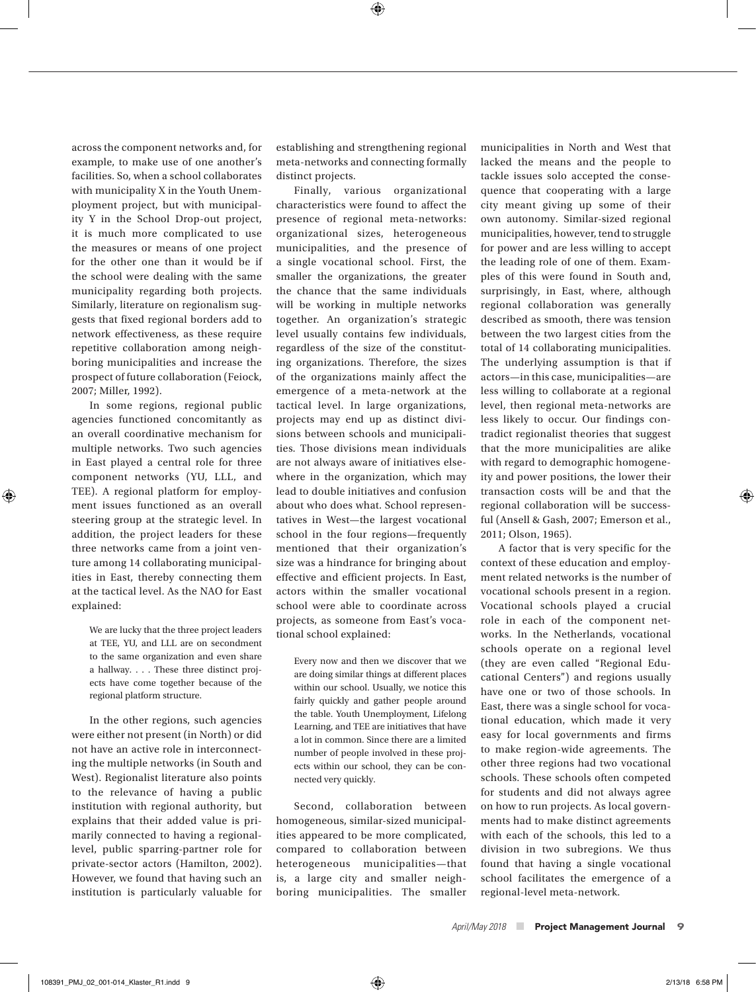⊕

across the component networks and, for example, to make use of one another's facilities. So, when a school collaborates with municipality X in the Youth Unemployment project, but with municipality Y in the School Drop-out project, it is much more complicated to use the measures or means of one project for the other one than it would be if the school were dealing with the same municipality regarding both projects. Similarly, literature on regionalism suggests that fixed regional borders add to network effectiveness, as these require repetitive collaboration among neighboring municipalities and increase the prospect of future collaboration (Feiock, 2007; Miller, 1992).

In some regions, regional public agencies functioned concomitantly as an overall coordinative mechanism for multiple networks. Two such agencies in East played a central role for three component networks (YU, LLL, and TEE). A regional platform for employment issues functioned as an overall steering group at the strategic level. In addition, the project leaders for these three networks came from a joint venture among 14 collaborating municipalities in East, thereby connecting them at the tactical level. As the NAO for East explained:

⊕

We are lucky that the three project leaders at TEE, YU, and LLL are on secondment to the same organization and even share a hallway. . . . These three distinct projects have come together because of the regional platform structure.

In the other regions, such agencies were either not present (in North) or did not have an active role in interconnecting the multiple networks (in South and West). Regionalist literature also points to the relevance of having a public institution with regional authority, but explains that their added value is primarily connected to having a regionallevel, public sparring-partner role for private-sector actors (Hamilton, 2002). However, we found that having such an institution is particularly valuable for

establishing and strengthening regional meta-networks and connecting formally distinct projects.

Finally, various organizational characteristics were found to affect the presence of regional meta-networks: organizational sizes, heterogeneous municipalities, and the presence of a single vocational school. First, the smaller the organizations, the greater the chance that the same individuals will be working in multiple networks together. An organization's strategic level usually contains few individuals, regardless of the size of the constituting organizations. Therefore, the sizes of the organizations mainly affect the emergence of a meta-network at the tactical level. In large organizations, projects may end up as distinct divisions between schools and municipalities. Those divisions mean individuals are not always aware of initiatives elsewhere in the organization, which may lead to double initiatives and confusion about who does what. School representatives in West—the largest vocational school in the four regions—frequently mentioned that their organization's size was a hindrance for bringing about effective and efficient projects. In East, actors within the smaller vocational school were able to coordinate across projects, as someone from East's vocational school explained:

Every now and then we discover that we are doing similar things at different places within our school. Usually, we notice this fairly quickly and gather people around the table. Youth Unemployment, Lifelong Learning, and TEE are initiatives that have a lot in common. Since there are a limited number of people involved in these projects within our school, they can be connected very quickly.

Second, collaboration between homogeneous, similar-sized municipalities appeared to be more complicated, compared to collaboration between heterogeneous municipalities—that is, a large city and smaller neighboring municipalities. The smaller

municipalities in North and West that lacked the means and the people to tackle issues solo accepted the consequence that cooperating with a large city meant giving up some of their own autonomy. Similar-sized regional municipalities, however, tend to struggle for power and are less willing to accept the leading role of one of them. Examples of this were found in South and, surprisingly, in East, where, although regional collaboration was generally described as smooth, there was tension between the two largest cities from the total of 14 collaborating municipalities. The underlying assumption is that if actors—in this case, municipalities—are less willing to collaborate at a regional level, then regional meta-networks are less likely to occur. Our findings contradict regionalist theories that suggest that the more municipalities are alike with regard to demographic homogeneity and power positions, the lower their transaction costs will be and that the regional collaboration will be successful (Ansell & Gash, 2007; Emerson et al., 2011; Olson, 1965).

A factor that is very specific for the context of these education and employment related networks is the number of vocational schools present in a region. Vocational schools played a crucial role in each of the component networks. In the Netherlands, vocational schools operate on a regional level (they are even called "Regional Educational Centers") and regions usually have one or two of those schools. In East, there was a single school for vocational education, which made it very easy for local governments and firms to make region-wide agreements. The other three regions had two vocational schools. These schools often competed for students and did not always agree on how to run projects. As local governments had to make distinct agreements with each of the schools, this led to a division in two subregions. We thus found that having a single vocational school facilitates the emergence of a regional-level meta-network.

*April/May 2018* ■ Project Management Journal9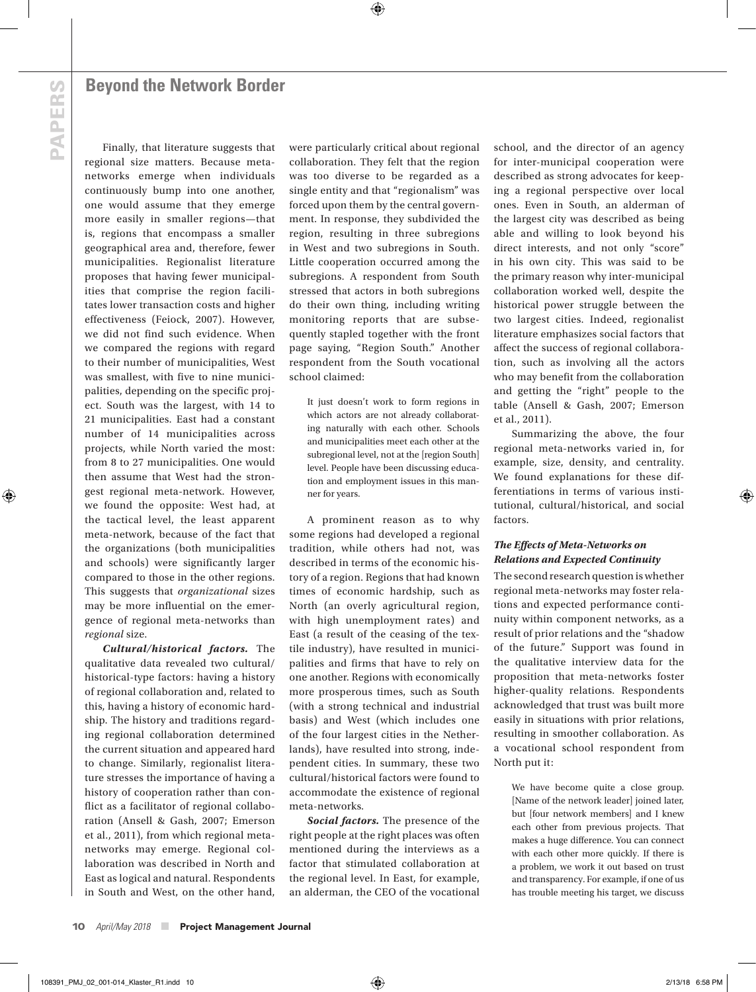**PAPERS PAPERS**

⊕

Finally, that literature suggests that regional size matters. Because metanetworks emerge when individuals continuously bump into one another, one would assume that they emerge more easily in smaller regions—that is, regions that encompass a smaller geographical area and, therefore, fewer municipalities. Regionalist literature proposes that having fewer municipalities that comprise the region facilitates lower transaction costs and higher effectiveness (Feiock, 2007). However, we did not find such evidence. When we compared the regions with regard to their number of municipalities, West was smallest, with five to nine municipalities, depending on the specific project. South was the largest, with 14 to 21 municipalities. East had a constant number of 14 municipalities across projects, while North varied the most: from 8 to 27 municipalities. One would then assume that West had the strongest regional meta-network. However, we found the opposite: West had, at the tactical level, the least apparent meta-network, because of the fact that the organizations (both municipalities and schools) were significantly larger compared to those in the other regions. This suggests that *organizational* sizes may be more influential on the emergence of regional meta-networks than *regional* size.

*Cultural/historical factors.* The qualitative data revealed two cultural/ historical-type factors: having a history of regional collaboration and, related to this, having a history of economic hardship. The history and traditions regarding regional collaboration determined the current situation and appeared hard to change. Similarly, regionalist literature stresses the importance of having a history of cooperation rather than conflict as a facilitator of regional collaboration (Ansell & Gash, 2007; Emerson et al., 2011), from which regional metanetworks may emerge. Regional collaboration was described in North and East as logical and natural. Respondents in South and West, on the other hand, were particularly critical about regional collaboration. They felt that the region was too diverse to be regarded as a single entity and that "regionalism" was forced upon them by the central government. In response, they subdivided the region, resulting in three subregions in West and two subregions in South. Little cooperation occurred among the subregions. A respondent from South stressed that actors in both subregions do their own thing, including writing monitoring reports that are subsequently stapled together with the front page saying, "Region South." Another respondent from the South vocational school claimed:

⊕

It just doesn't work to form regions in which actors are not already collaborating naturally with each other. Schools and municipalities meet each other at the subregional level, not at the [region South] level. People have been discussing education and employment issues in this manner for years.

A prominent reason as to why some regions had developed a regional tradition, while others had not, was described in terms of the economic history of a region. Regions that had known times of economic hardship, such as North (an overly agricultural region, with high unemployment rates) and East (a result of the ceasing of the textile industry), have resulted in municipalities and firms that have to rely on one another. Regions with economically more prosperous times, such as South (with a strong technical and industrial basis) and West (which includes one of the four largest cities in the Netherlands), have resulted into strong, independent cities. In summary, these two cultural/historical factors were found to accommodate the existence of regional meta-networks.

*Social factors.* The presence of the right people at the right places was often mentioned during the interviews as a factor that stimulated collaboration at the regional level. In East, for example, an alderman, the CEO of the vocational

school, and the director of an agency for inter-municipal cooperation were described as strong advocates for keeping a regional perspective over local ones. Even in South, an alderman of the largest city was described as being able and willing to look beyond his direct interests, and not only "score" in his own city. This was said to be the primary reason why inter-municipal collaboration worked well, despite the historical power struggle between the two largest cities. Indeed, regionalist literature emphasizes social factors that affect the success of regional collaboration, such as involving all the actors who may benefit from the collaboration and getting the "right" people to the table (Ansell & Gash, 2007; Emerson et al., 2011).

Summarizing the above, the four regional meta-networks varied in, for example, size, density, and centrality. We found explanations for these differentiations in terms of various institutional, cultural/historical, and social factors.

## *The Effects of Meta-Networks on Relations and Expected Continuity*

The second research question is whether regional meta-networks may foster relations and expected performance continuity within component networks, as a result of prior relations and the "shadow of the future." Support was found in the qualitative interview data for the proposition that meta-networks foster higher-quality relations. Respondents acknowledged that trust was built more easily in situations with prior relations, resulting in smoother collaboration. As a vocational school respondent from North put it:

We have become quite a close group. [Name of the network leader] joined later, but [four network members] and I knew each other from previous projects. That makes a huge difference. You can connect with each other more quickly. If there is a problem, we work it out based on trust and transparency. For example, if one of us has trouble meeting his target, we discuss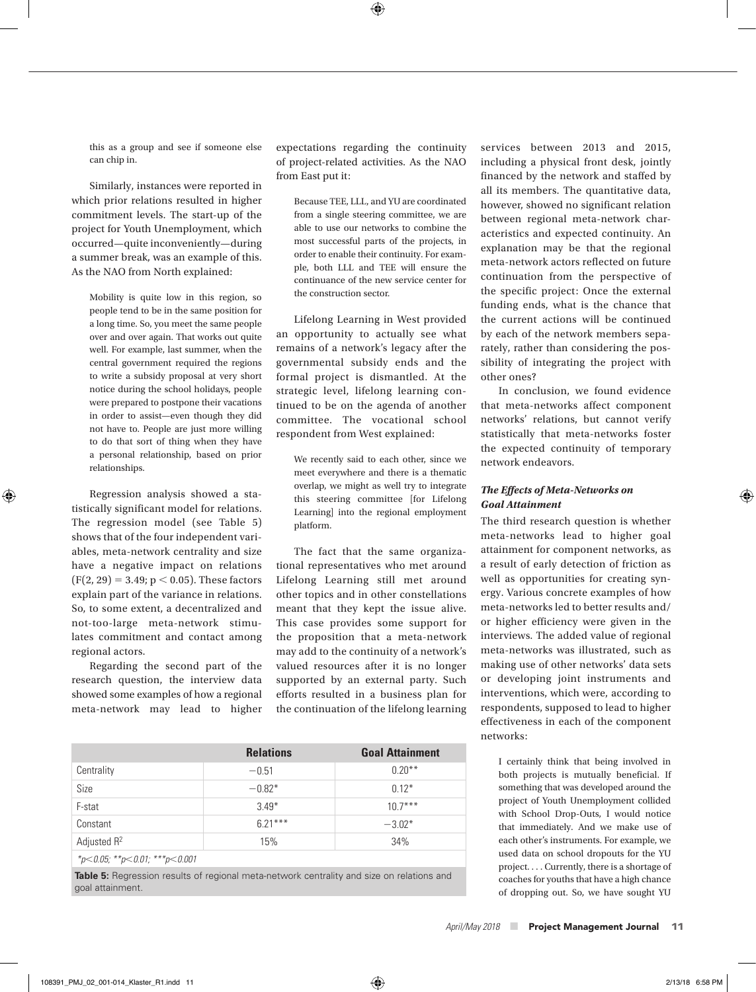this as a group and see if someone else can chip in.

Similarly, instances were reported in which prior relations resulted in higher commitment levels. The start-up of the project for Youth Unemployment, which occurred—quite inconveniently—during a summer break, was an example of this. As the NAO from North explained:

Mobility is quite low in this region, so people tend to be in the same position for a long time. So, you meet the same people over and over again. That works out quite well. For example, last summer, when the central government required the regions to write a subsidy proposal at very short notice during the school holidays, people were prepared to postpone their vacations in order to assist—even though they did not have to. People are just more willing to do that sort of thing when they have a personal relationship, based on prior relationships.

Regression analysis showed a statistically significant model for relations. The regression model (see Table 5) shows that of the four independent variables, meta-network centrality and size have a negative impact on relations  $(F(2, 29) = 3.49; p < 0.05)$ . These factors explain part of the variance in relations. So, to some extent, a decentralized and not-too-large meta-network stimulates commitment and contact among regional actors.

⊕

Regarding the second part of the research question, the interview data showed some examples of how a regional meta-network may lead to higher expectations regarding the continuity of project-related activities. As the NAO from East put it:

⊕

Because TEE, LLL, and YU are coordinated from a single steering committee, we are able to use our networks to combine the most successful parts of the projects, in order to enable their continuity. For example, both LLL and TEE will ensure the continuance of the new service center for the construction sector.

Lifelong Learning in West provided an opportunity to actually see what remains of a network's legacy after the governmental subsidy ends and the formal project is dismantled. At the strategic level, lifelong learning continued to be on the agenda of another committee. The vocational school respondent from West explained:

We recently said to each other, since we meet everywhere and there is a thematic overlap, we might as well try to integrate this steering committee [for Lifelong Learning] into the regional employment platform.

The fact that the same organizational representatives who met around Lifelong Learning still met around other topics and in other constellations meant that they kept the issue alive. This case provides some support for the proposition that a meta-network

may add to the continuity of a network's valued resources after it is no longer supported by an external party. Such efforts resulted in a business plan for the continuation of the lifelong learning **Relations Goal Attainment**

|                               | <b>Relations</b> | <b>Goal Attainment</b> |  |  |
|-------------------------------|------------------|------------------------|--|--|
| Centrality                    | $-0.51$          | $0.20***$              |  |  |
| Size                          | $-0.82*$         | $0.12*$                |  |  |
| F-stat                        | $3.49*$          | $107***$               |  |  |
| Constant                      | $6.21***$        | $-3.02*$               |  |  |
| Adjusted R <sup>2</sup>       | 15%              | 34%                    |  |  |
| *p<0.05; **p<0.01; ***p<0.001 |                  |                        |  |  |

**Table 5:** Regression results of regional meta-network centrality and size on relations and goal attainment.

services between 2013 and 2015, including a physical front desk, jointly financed by the network and staffed by all its members. The quantitative data, however, showed no significant relation between regional meta-network characteristics and expected continuity. An explanation may be that the regional meta-network actors reflected on future continuation from the perspective of the specific project: Once the external funding ends, what is the chance that the current actions will be continued by each of the network members separately, rather than considering the possibility of integrating the project with other ones?

In conclusion, we found evidence that meta-networks affect component networks' relations, but cannot verify statistically that meta-networks foster the expected continuity of temporary network endeavors.

#### *The Effects of Meta-Networks on Goal Attainment*

The third research question is whether meta-networks lead to higher goal attainment for component networks, as a result of early detection of friction as well as opportunities for creating synergy. Various concrete examples of how meta-networks led to better results and/ or higher efficiency were given in the interviews. The added value of regional meta-networks was illustrated, such as making use of other networks' data sets or developing joint instruments and interventions, which were, according to respondents, supposed to lead to higher effectiveness in each of the component networks:

I certainly think that being involved in both projects is mutually beneficial. If something that was developed around the project of Youth Unemployment collided with School Drop-Outs, I would notice that immediately. And we make use of each other's instruments. For example, we used data on school dropouts for the YU project. . . . Currently, there is a shortage of coaches for youths that have a high chance of dropping out. So, we have sought YU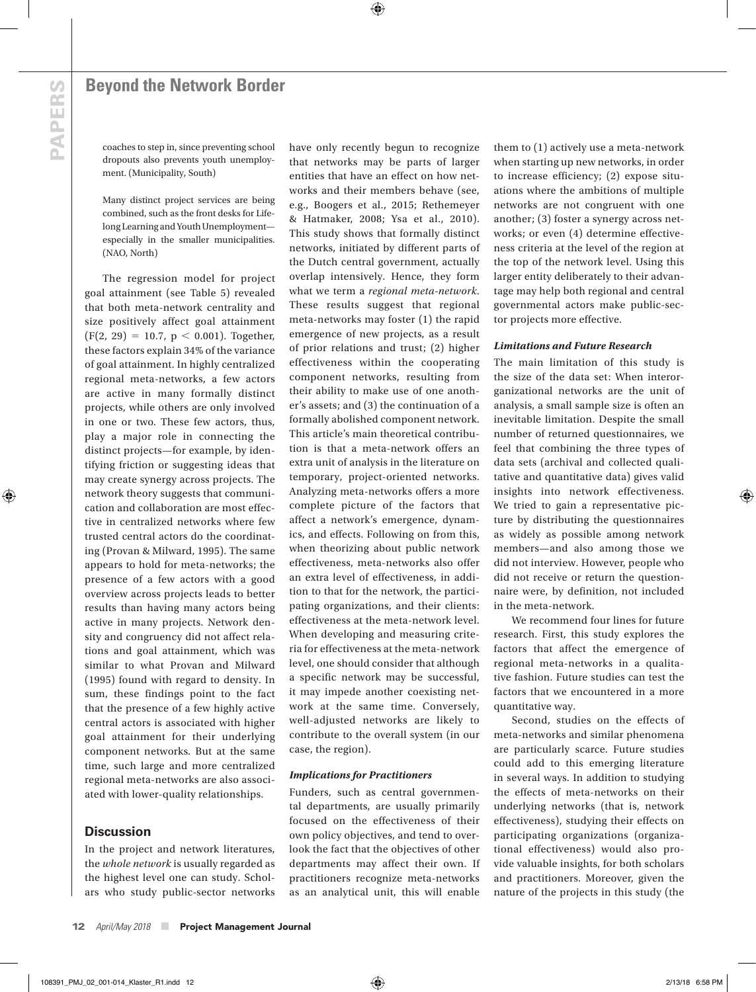# **PAPERS PAPERS**

⊕

## **Beyond the Network Border**

coaches to step in, since preventing school dropouts also prevents youth unemployment. (Municipality, South)

Many distinct project services are being combined, such as the front desks for Lifelong Learning and Youth Unemployment especially in the smaller municipalities. (NAO, North)

The regression model for project goal attainment (see Table 5) revealed that both meta-network centrality and size positively affect goal attainment  $(F(2, 29) = 10.7, p < 0.001)$ . Together, these factors explain 34% of the variance of goal attainment. In highly centralized regional meta-networks, a few actors are active in many formally distinct projects, while others are only involved in one or two. These few actors, thus, play a major role in connecting the distinct projects—for example, by identifying friction or suggesting ideas that may create synergy across projects. The network theory suggests that communication and collaboration are most effective in centralized networks where few trusted central actors do the coordinating (Provan & Milward, 1995). The same appears to hold for meta-networks; the presence of a few actors with a good overview across projects leads to better results than having many actors being active in many projects. Network density and congruency did not affect relations and goal attainment, which was similar to what Provan and Milward (1995) found with regard to density. In sum, these findings point to the fact that the presence of a few highly active central actors is associated with higher goal attainment for their underlying component networks. But at the same time, such large and more centralized regional meta-networks are also associated with lower-quality relationships.

## **Discussion**

In the project and network literatures, the *whole network* is usually regarded as the highest level one can study. Scholars who study public-sector networks have only recently begun to recognize that networks may be parts of larger entities that have an effect on how networks and their members behave (see, e.g., Boogers et al., 2015; Rethemeyer & Hatmaker, 2008; Ysa et al., 2010). This study shows that formally distinct networks, initiated by different parts of the Dutch central government, actually overlap intensively. Hence, they form what we term a *regional meta-network*. These results suggest that regional meta-networks may foster (1) the rapid emergence of new projects, as a result of prior relations and trust; (2) higher effectiveness within the cooperating component networks, resulting from their ability to make use of one another's assets; and (3) the continuation of a formally abolished component network. This article's main theoretical contribution is that a meta-network offers an extra unit of analysis in the literature on temporary, project-oriented networks. Analyzing meta-networks offers a more complete picture of the factors that affect a network's emergence, dynamics, and effects. Following on from this, when theorizing about public network effectiveness, meta-networks also offer an extra level of effectiveness, in addition to that for the network, the participating organizations, and their clients: effectiveness at the meta-network level. When developing and measuring criteria for effectiveness at the meta-network level, one should consider that although a specific network may be successful, it may impede another coexisting network at the same time. Conversely, well-adjusted networks are likely to contribute to the overall system (in our case, the region).

⊕

#### *Implications for Practitioners*

Funders, such as central governmental departments, are usually primarily focused on the effectiveness of their own policy objectives, and tend to overlook the fact that the objectives of other departments may affect their own. If practitioners recognize meta-networks as an analytical unit, this will enable

them to (1) actively use a meta-network when starting up new networks, in order to increase efficiency; (2) expose situations where the ambitions of multiple networks are not congruent with one another; (3) foster a synergy across networks; or even (4) determine effectiveness criteria at the level of the region at the top of the network level. Using this larger entity deliberately to their advantage may help both regional and central governmental actors make public-sector projects more effective.

#### *Limitations and Future Research*

The main limitation of this study is the size of the data set: When interorganizational networks are the unit of analysis, a small sample size is often an inevitable limitation. Despite the small number of returned questionnaires, we feel that combining the three types of data sets (archival and collected qualitative and quantitative data) gives valid insights into network effectiveness. We tried to gain a representative picture by distributing the questionnaires as widely as possible among network members—and also among those we did not interview. However, people who did not receive or return the questionnaire were, by definition, not included in the meta-network.

We recommend four lines for future research. First, this study explores the factors that affect the emergence of regional meta-networks in a qualitative fashion. Future studies can test the factors that we encountered in a more quantitative way.

Second, studies on the effects of meta-networks and similar phenomena are particularly scarce. Future studies could add to this emerging literature in several ways. In addition to studying the effects of meta-networks on their underlying networks (that is, network effectiveness), studying their effects on participating organizations (organizational effectiveness) would also provide valuable insights, for both scholars and practitioners. Moreover, given the nature of the projects in this study (the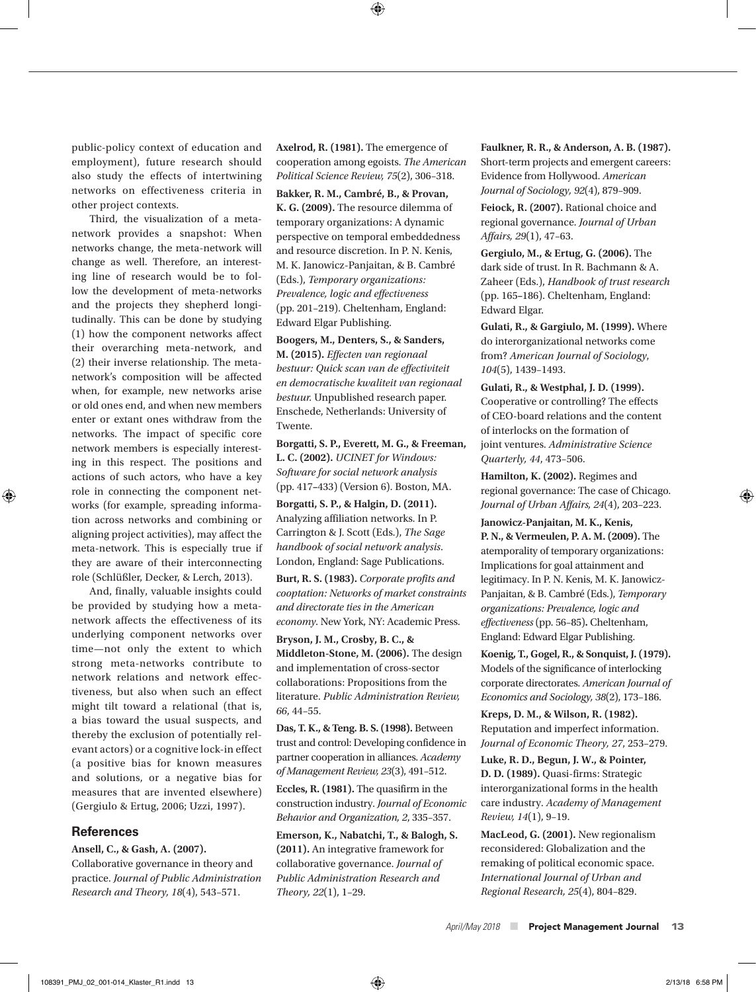public-policy context of education and employment), future research should also study the effects of intertwining networks on effectiveness criteria in other project contexts.

Third, the visualization of a metanetwork provides a snapshot: When networks change, the meta-network will change as well. Therefore, an interesting line of research would be to follow the development of meta-networks and the projects they shepherd longitudinally. This can be done by studying (1) how the component networks affect their overarching meta-network, and (2) their inverse relationship. The metanetwork's composition will be affected when, for example, new networks arise or old ones end, and when new members enter or extant ones withdraw from the networks. The impact of specific core network members is especially interesting in this respect. The positions and actions of such actors, who have a key role in connecting the component networks (for example, spreading information across networks and combining or aligning project activities), may affect the meta-network. This is especially true if they are aware of their interconnecting role (Schlüßler, Decker, & Lerch, 2013).

And, finally, valuable insights could be provided by studying how a metanetwork affects the effectiveness of its underlying component networks over time—not only the extent to which strong meta-networks contribute to network relations and network effectiveness, but also when such an effect might tilt toward a relational (that is, a bias toward the usual suspects, and thereby the exclusion of potentially relevant actors) or a cognitive lock-in effect (a positive bias for known measures and solutions, or a negative bias for measures that are invented elsewhere) (Gergiulo & Ertug, 2006; Uzzi, 1997).

#### **References**

 $\textcircled{\scriptsize{+}}$ 

**Ansell, C., & Gash, A. (2007).**

Collaborative governance in theory and practice. *Journal of Public Administration Research and Theory, 18*(4), 543–571.

**Axelrod, R. (1981).** The emergence of cooperation among egoists. *The American Political Science Review, 75*(2), 306–318.

⊕

**Bakker, R. M., Cambré, B., & Provan, K. G. (2009).** The resource dilemma of temporary organizations: A dynamic perspective on temporal embeddedness and resource discretion. In P. N. Kenis, M. K. Janowicz-Panjaitan, & B. Cambré (Eds.), *Temporary organizations: Prevalence, logic and effectiveness* (pp. 201–219). Cheltenham, England: Edward Elgar Publishing.

**Boogers, M., Denters, S., & Sanders, M. (2015).** *Effecten van regionaal bestuur: Quick scan van de effectiviteit en democratische kwaliteit van regionaal bestuur.* Unpublished research paper. Enschede, Netherlands: University of Twente.

**Borgatti, S. P., Everett, M. G., & Freeman, L. C. (2002).** *UCINET for Windows: Software for social network analysis* (pp. 417**–**433) (Version 6). Boston, MA.

**Borgatti, S. P., & Halgin, D. (2011).** Analyzing affiliation networks. In P. Carrington & J. Scott (Eds.), *The Sage handbook of social network analysis*. London, England: Sage Publications.

**Burt, R. S. (1983).** *Corporate profits and cooptation: Networks of market constraints and directorate ties in the American economy*. New York, NY: Academic Press.

**Bryson, J. M., Crosby, B. C., & Middleton-Stone, M. (2006).** The design and implementation of cross-sector collaborations: Propositions from the literature. *Public Administration Review, 66*, 44–55.

**Das, T. K., & Teng. B. S. (1998).** Between trust and control: Developing confidence in partner cooperation in alliances. *Academy of Management Review, 23*(3), 491–512.

**Eccles, R. (1981).** The quasifirm in the construction industry. *Journal of Economic Behavior and Organization, 2*, 335–357.

**Emerson, K., Nabatchi, T., & Balogh, S. (2011).** An integrative framework for collaborative governance. *Journal of Public Administration Research and Theory, 22*(1), 1–29.

**Faulkner, R. R., & Anderson, A. B. (1987).** Short-term projects and emergent careers: Evidence from Hollywood. *American Journal of Sociology, 92*(4), 879–909.

**Feiock, R. (2007).** Rational choice and regional governance. *Journal of Urban Affairs, 29*(1), 47–63.

**Gergiulo, M., & Ertug, G. (2006).** The dark side of trust. In R. Bachmann & A. Zaheer (Eds.), *Handbook of trust research* (pp. 165**–**186). Cheltenham, England: Edward Elgar.

**Gulati, R., & Gargiulo, M. (1999).** Where do interorganizational networks come from? *American Journal of Sociology*, *104*(5), 1439–1493.

**Gulati, R., & Westphal, J. D. (1999).** Cooperative or controlling? The effects of CEO-board relations and the content of interlocks on the formation of joint ventures. *Administrative Science Quarterly, 44*, 473–506.

**Hamilton, K. (2002).** Regimes and regional governance: The case of Chicago. *Journal of Urban Affairs, 24*(4), 203–223.

**Janowicz-Panjaitan, M. K., Kenis, P. N., & Vermeulen, P. A. M. (2009).** The atemporality of temporary organizations: Implications for goal attainment and legitimacy. In P. N. Kenis, M. K. Janowicz-Panjaitan, & B. Cambré (Eds.), *Temporary organizations: Prevalence, logic and effectiveness* (pp. 56–85)**.** Cheltenham, England: Edward Elgar Publishing.

**Koenig, T., Gogel, R., & Sonquist, J. (1979).** Models of the significance of interlocking corporate directorates. *American Journal of Economics and Sociology, 38*(2), 173–186.

**Kreps, D. M., & Wilson, R. (1982).** Reputation and imperfect information. *Journal of Economic Theory, 27*, 253–279.

**Luke, R. D., Begun, J. W., & Pointer, D. D. (1989).** Quasi-firms: Strategic interorganizational forms in the health care industry. *Academy of Management Review, 14*(1), 9–19.

**MacLeod, G. (2001).** New regionalism reconsidered: Globalization and the remaking of political economic space. *International Journal of Urban and Regional Research, 25*(4), 804–829.